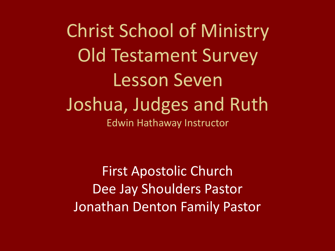Christ School of Ministry Old Testament Survey Lesson Seven Joshua, Judges and Ruth Edwin Hathaway Instructor

First Apostolic Church Dee Jay Shoulders Pastor Jonathan Denton Family Pastor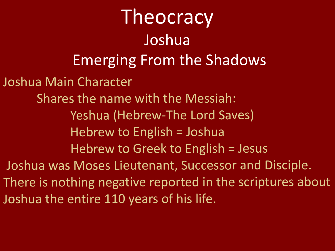Joshua Main Character Shares the name with the Messiah: Yeshua (Hebrew-The Lord Saves) Hebrew to English <sup>=</sup> Joshua Hebrew to Greek to English <sup>=</sup> Jesus Joshua was Moses Lieutenant, Successor and Disciple. There is nothing negative reported in the scriptures about Joshua the entire 110 years of his life. **Theocracy** Joshua Emerging From the Shadows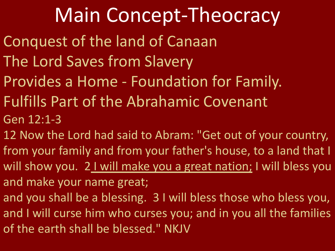## Main Concept-Theocracy

- Conquest of the land of Canaan
- The Lord Saves from Slavery
- Provides a Home Foundation for Family.
- Fulfills Part of the Abrahamic Covenant Gen 12:1-3
- 12 Now the Lord had said to Abram: "Get out of your country, from your family and from your father's house, to a land that I will show you. 21 will make you a great nation; I will bless you and make your name great;
- and you shall be a blessing. 3 I will bless those who bless you, and I will curse him who curses you; and in you all the families of the earth shall be blessed." NKJV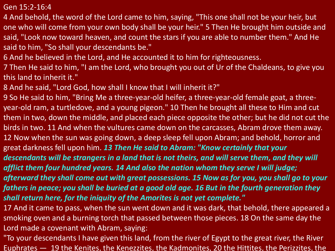Gen 15:2-16:4

- 4 And behold, the word of the Lord came to him, saying, "This one shall not be your heir, but one who will come from your own body shall be your heir." 5 Then He brought him outside and said, "Look now toward heaven, and count the stars if you are able to number them." And He said to him, "So shall your descendants be."
- 6 And he believed in the Lord, and He accounted it to him for righteousness.
- 7 Then He said to him, "I am the Lord, who brought you out of Ur of the Chaldeans, to give you this land to inherit it."
- 8 And he said, "Lord God, how shall I know that I will inherit it?"
- 9 So He said to him, "Bring Me a three-year-old heifer, a three-year-old female goat, a threeyear-old ram, a turtledove, and a young pigeon." 10 Then he brought all these to Him and cut them in two, down the middle, and placed each piece opposite the other; but he did not cut the birds in two. 11 And when the vultures came down on the carcasses, Abram drove them away. 12 Now when the sun was going down, a deep sleep fell upon Abram; and behold, horror and great darkness fell upon him. *13 Then He said to Abram: "Know certainly that your descendants will be strangers in a land that is not theirs, and will serve them, and they will afflict them four hundred years. 14 And also the nation whom they serve I will judge; afterward they shall come out with great possessions. 15 Now as for you, you shall go to your* fathers in peace; you shall be buried at a good old age. 16 But in the fourth generation they
- *shall return here, for the iniquity of the Amorites is not yet complete."*
- 17 And it came to pass, when the sun went down and it was dark, that behold, there appeared a smoking oven and a burning torch that passed between those pieces. 18 On the same day the Lord made a covenant with Abram, saying:
- "To your descendants I have given this land, from the river of Egypt to the great river, the River Euphrates — 19 the Kenites, the Kenezzites, the Kadmonites, 20 the Hittites, the Perizzites, the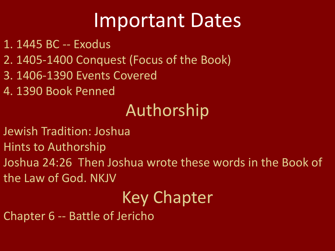## Important Dates

- 1. 1445 BC -- Exodus
- 2. 1405-1400 Conquest (Focus of the Book)
- 3. 1406-1390 Events Covered
- 4. 1390 Book Penned

## Authorship

- Jewish Tradition: Joshua
- Hints to Authorship
- Joshua 24:26 Then Joshua wrote these words in the Book of the Law of God. NKJV

## Key Chapter

Chapter 6 -- Battle of Jericho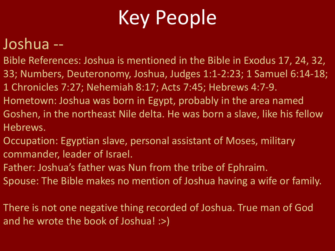# Key People

### Joshua --

- Bible References: Joshua is mentioned in the Bible in Exodus 17, 24, 32, 33; Numbers, Deuteronomy, Joshua, Judges 1:1-2:23; 1 Samuel 6:14-18;
- 1 Chronicles 7:27; Nehemiah 8:17; Acts 7:45; Hebrews 4:7-9.
- Hometown: Joshua was born in Egypt, probably in the area named Goshen, in the northeast Nile delta. He was born a slave, like his fellow Hebrews.
- Occupation: Egyptian slave, personal assistant of Moses, military commander, leader of Israel.
- Father: Joshua's father was Nun from the tribe of Ephraim.
- Spouse: The Bible makes no mention of Joshua having a wife or family.
- There is not one negative thing recorded of Joshua. True man of God and he wrote the book of Joshua! :>)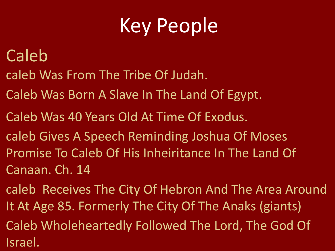# Key People

### Caleb

- caleb Was From The Tribe Of Judah.
- Caleb Was Born A Slave In The Land Of Egypt.
- Caleb Was 40 Years Old At Time Of Exodus.
- caleb Gives A Speech Reminding Joshua Of Moses Promise To Caleb Of His Inheiritance In The Land Of Canaan. Ch. 14
- caleb Receives The City Of Hebron And The Area Around It At Age 85. Formerly The City Of The Anaks (giants)
- Caleb Wholeheartedly Followed The Lord, The God Of Israel.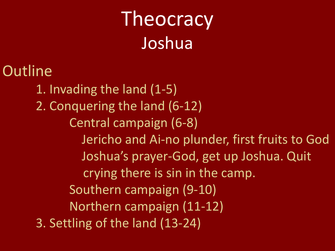# Theocracy Joshua

**Outline** 1. Invading the land (1-5) 2. Conquering the land (6-12) Central campaign (6-8) Jericho and Ai-no plunder, first fruits to God Joshua's prayer-God, get up Joshua. Quit crying there is sin in the camp. Southern campaign (9-10) Northern campaign (11-12) 3. Settling of the land (13-24)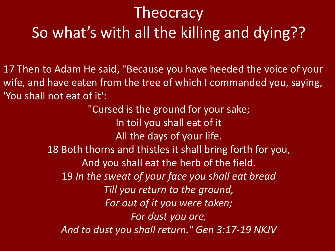### **Theocracy** So what's with all the killing and dying??

17 Then to Adam He said, "Because you have heeded the voice of your wife, and have eaten from the tree of which I commanded you, saying, 'You shall not eat of it':

> "Cursed is the ground for your sake; In toil you shall eat of it All the days of your life. 18 Both thorns and thistles it shall bring forth for you, And you shall eat the herb of the field. 19 *In the sweat of your face you shall eat bread Till you return to the ground, For out of it you were taken; For dust you are, And to dust you shall return." Gen 3:17-19 NKJV*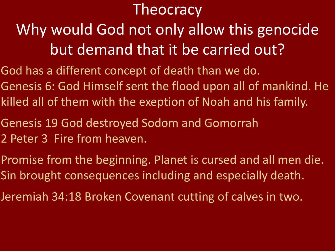### **Theocracy**

### Why would God not only allow this genocide but demand that it be carried out?

- God has a different concept of death than we do. Genesis 6: God Himself sent the flood upon all of mankind. He killed all of them with the exeption of Noah and his family.
- Genesis 19 God destroyed Sodom and Gomorrah 2 Peter 3 Fire from heaven.
- Promise from the beginning. Planet is cursed and all men die. Sin brought consequences including and especially death.
- Jeremiah 34:18 Broken Covenant cutting of calves in two.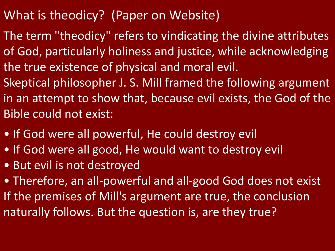- What is theodicy? (Paper on Website)
- The term "theodicy" refers to vindicating the divine attributes of God, particularly holiness and justice, while acknowledging the true existence of physical and moral evil.
- Skeptical philosopher J. S. Mill framed the following argument in an attempt to show that, because evil exists, the God of the Bible could not exist:
- If God were all powerful, He could destroy evil
- If God were all good, He would want to destroy evil
- But evil is not destroyed
- Therefore, an all-powerful and all-good God does not exist If the premises of Mill's argument are true, the conclusion naturally follows. But the question is, are they true?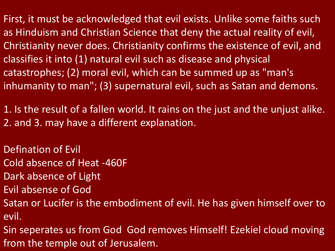First, it must be acknowledged that evil exists. Unlike some faiths such as Hinduism and Christian Science that deny the actual reality of evil, Christianity never does. Christianity confirms the existence of evil, and classifies it into (1) natural evil such as disease and physical catastrophes; (2) moral evil, which can be summed up as "man's inhumanity to man"; (3) supernatural evil, such as Satan and demons.

1. Is the result of a fallen world. It rains on the just and the unjust alike. 2. and 3. may have a different explanation.

Defination of Evil

Cold absence of Heat -460F

Dark absence of Light

Evil absense of God

Satan or Lucifer is the embodiment of evil. He has given himself over to evil.

Sin seperates us from God God removes Himself! Ezekiel cloud moving from the temple out of Jerusalem.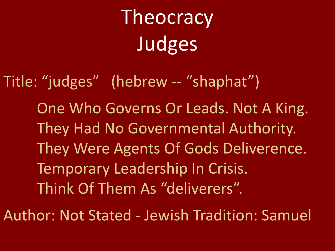Title: "judges" (hebrew -- "shaphat") One Who Governs Or Leads. Not A King. They Had No Governmental Authority. They Were Agents Of Gods Deliverence. Temporary Leadership In Crisis. Think Of Them As "deliverers".

Author: Not Stated - Jewish Tradition: Samuel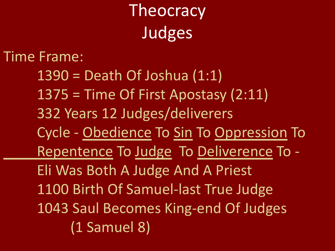Time Frame:

 $1390$  = Death Of Joshua  $(1:1)$ 1375 = Time Of First Apostasy (2:11) 332 Years 12 Judges/deliverers Cycle - Obedience To Sin To Oppression To Repentence To Judge To Deliverence To - Eli Was Both A Judge And A Priest 1100 Birth Of Samuel-last True Judge 1043 Saul Becomes King-end Of Judges (1 Samuel 8)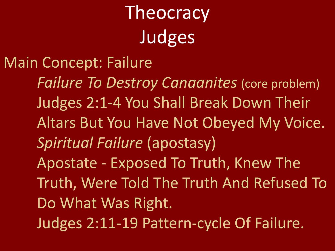### Main Concept: Failure

*Failure To Destroy Canaanites* (core problem) Judges 2:1-4 You Shall Break Down Their Altars But You Have Not Obeyed My Voice. *Spiritual Failure* (apostasy) Apostate - Exposed To Truth, Knew The Truth, Were Told The Truth And Refused To Do What Was Right. Judges 2:11-19 Pattern-cycle Of Failure.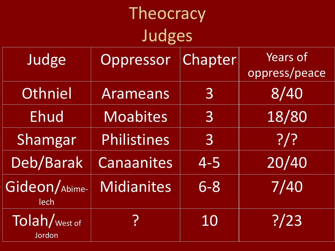| Theocracy                           |                   |                |                                  |  |  |
|-------------------------------------|-------------------|----------------|----------------------------------|--|--|
| Judges                              |                   |                |                                  |  |  |
| Judge                               | Oppressor         | Chapter        | <b>Years of</b><br>oppress/peace |  |  |
| Othniel                             | Arameans          | $\overline{3}$ | 8/40                             |  |  |
| <b>Ehud</b>                         | <b>Moabites</b>   | 3              | 18/80                            |  |  |
| Shamgar                             | Philistines       | $\overline{3}$ | ?                                |  |  |
| Deb/Barak                           | <b>Canaanites</b> | $4 - 5$        | 20/40                            |  |  |
| Gideon/Abime-<br>lech               | <b>Midianites</b> | $6 - 8$        | 7/40                             |  |  |
| Tolah/ <sub>West of</sub><br>Jordon | <u>?</u>          | 10             | ? / 23                           |  |  |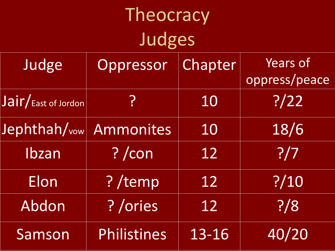| Judge                                                | Oppressor   | Chapter | <b>Years of</b><br>oppress/peace |
|------------------------------------------------------|-------------|---------|----------------------------------|
| $\overline{\mathsf{Jair}/_{\text{East of Jordan}}}\$ | <u>?</u>    | 10      | ? / 22                           |
| Jephthah/vow                                         | Ammonites   | 10      | 18/6                             |
| Ibzan                                                | ? /con      | 12      | ? / 7                            |
| Elon                                                 | ?/temp      | 12      | ? / 10                           |
| Abdon                                                | ? /ories    | 12      | ? / 8                            |
| Samson                                               | Philistines | 13-16   | 40/20                            |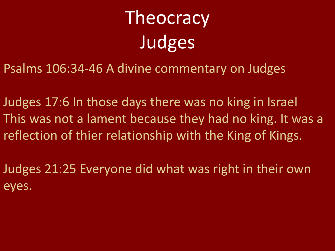Psalms 106:34-46 A divine commentary on Judges

Judges 17:6 In those days there was no king in Israel This was not a lament because they had no king. It was a reflection of thier relationship with the King of Kings.

Judges 21:25 Everyone did what was right in their own eyes.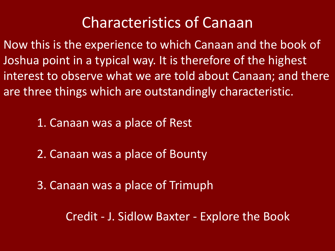### Characteristics of Canaan

Now this is the experience to which Canaan and the book of Joshua point in a typical way. It is therefore of the highest interest to observe what we are told about Canaan; and there are three things which are outstandingly characteristic.

1. Canaan was a place of Rest

- 2. Canaan was a place of Bounty
- 3. Canaan was a place of Trimuph

Credit - J. Sidlow Baxter - Explore the Book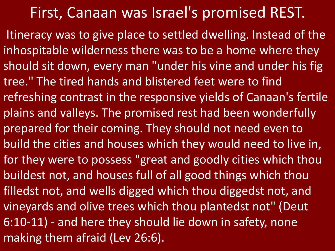#### First, Canaan was Israel's promised REST.

Itineracy was to give place to settled dwelling. Instead of the inhospitable wilderness there was to be a home where they should sit down, every man "under his vine and under his fig tree." The tired hands and blistered feet were to find refreshing contrast in the responsive yields of Canaan's fertile plains and valleys. The promised rest had been wonderfully prepared for their coming. They should not need even to build the cities and houses which they would need to live in, for they were to possess "great and goodly cities which thou buildest not, and houses full of all good things which thou filledst not, and wells digged which thou diggedst not, and vineyards and olive trees which thou plantedst not" (Deut 6:10-11) - and here they should lie down in safety, none making them afraid (Lev 26:6).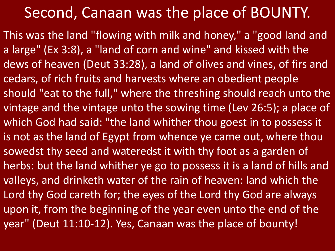### Second, Canaan was the place of BOUNTY.

This was the land "flowing with milk and honey, " a "good land and a large" (Ex 3:8), a "land of corn and wine" and kissed with the dews of heaven (Deut 33:28), a land of olives and vines, of firs and cedars, of rich fruits and harvests where an obedient people should "eat to the full, " where the threshing should reach unto the vintage and the vintage unto the sowing time (Lev 26:5); a place of which God had said: "the land whither thou goest in to possess it is not as the land of Egypt from whence ye came out, where thou sowedst thy seed and wateredst it with thy foot as a garden of herbs: but the land whither ye go to possess it is a land of hills and valleys, and drinketh water of the rain of heaven: land which the Lord thy God careth for; the eyes of the Lord thy God are always upon it, from the beginning of the year even unto the end of the year" (Deut 11:10-12). Yes, Canaan was the place of bounty!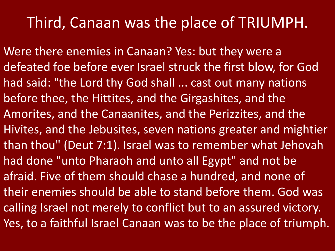#### Third, Canaan was the place of TRIUMPH.

Were there enemies in Canaan? Yes: but they were a defeated foe before ever Israel struck the first blow, for God had said: "the Lord thy God shall ... cast out many nations before thee, the Hittites, and the Girgashites, and the Amorites, and the Canaanites, and the Perizzites, and the Hivites, and the Jebusites, seven nations greater and mightier than thou" (Deut 7:1). Israel was to remember what Jehovah had done "unto Pharaoh and unto all Egypt" and not be afraid. Five of them should chase a hundred, and none of their enemies should be able to stand before them. God was calling Israel not merely to conflict but to an assured victory. Yes, to a faithful Israel Canaan was to be the place of triumph.